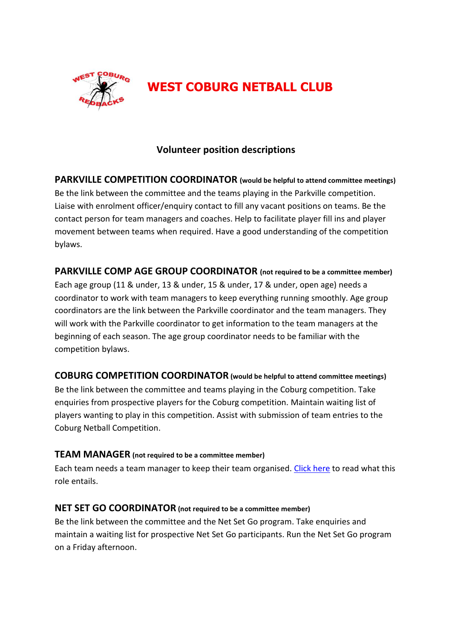

# **WEST COBURG NETBALL CLUB**

## **Volunteer position descriptions**

**PARKVILLE COMPETITION COORDINATOR (would be helpful to attend committee meetings)** Be the link between the committee and the teams playing in the Parkville competition. Liaise with enrolment officer/enquiry contact to fill any vacant positions on teams. Be the contact person for team managers and coaches. Help to facilitate player fill ins and player movement between teams when required. Have a good understanding of the competition bylaws.

**PARKVILLE COMP AGE GROUP COORDINATOR (not required to be a committee member)** Each age group (11 & under, 13 & under, 15 & under, 17 & under, open age) needs a coordinator to work with team managers to keep everything running smoothly. Age group coordinators are the link between the Parkville coordinator and the team managers. They will work with the Parkville coordinator to get information to the team managers at the beginning of each season. The age group coordinator needs to be familiar with the competition bylaws.

## **COBURG COMPETITION COORDINATOR (would be helpful to attend committee meetings)**

Be the link between the committee and teams playing in the Coburg competition. Take enquiries from prospective players for the Coburg competition. Maintain waiting list of players wanting to play in this competition. Assist with submission of team entries to the Coburg Netball Competition.

## **TEAM MANAGER (not required to be a committee member)**

Each team needs a team manager to keep their team organised. [Click here](https://www.westcoburgnc.com.au/wp-content/uploads/2018/09/WCNC-Team-Manager-DutiesParkville-Comp.docx) to read what this role entails.

## **NET SET GO COORDINATOR (not required to be a committee member)**

Be the link between the committee and the Net Set Go program. Take enquiries and maintain a waiting list for prospective Net Set Go participants. Run the Net Set Go program on a Friday afternoon.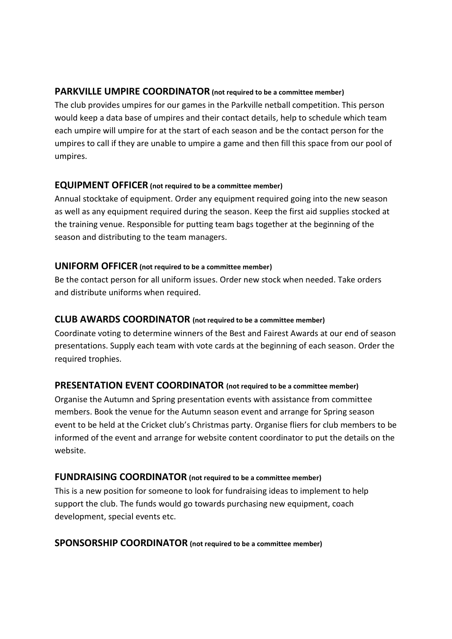## **PARKVILLE UMPIRE COORDINATOR (not required to be a committee member)**

The club provides umpires for our games in the Parkville netball competition. This person would keep a data base of umpires and their contact details, help to schedule which team each umpire will umpire for at the start of each season and be the contact person for the umpires to call if they are unable to umpire a game and then fill this space from our pool of umpires.

## **EQUIPMENT OFFICER (not required to be a committee member)**

Annual stocktake of equipment. Order any equipment required going into the new season as well as any equipment required during the season. Keep the first aid supplies stocked at the training venue. Responsible for putting team bags together at the beginning of the season and distributing to the team managers.

### **UNIFORM OFFICER (not required to be a committee member)**

Be the contact person for all uniform issues. Order new stock when needed. Take orders and distribute uniforms when required.

## **CLUB AWARDS COORDINATOR (not required to be a committee member)**

Coordinate voting to determine winners of the Best and Fairest Awards at our end of season presentations. Supply each team with vote cards at the beginning of each season. Order the required trophies.

## **PRESENTATION EVENT COORDINATOR (not required to be a committee member)**

Organise the Autumn and Spring presentation events with assistance from committee members. Book the venue for the Autumn season event and arrange for Spring season event to be held at the Cricket club's Christmas party. Organise fliers for club members to be informed of the event and arrange for website content coordinator to put the details on the website.

### **FUNDRAISING COORDINATOR (not required to be a committee member)**

This is a new position for someone to look for fundraising ideas to implement to help support the club. The funds would go towards purchasing new equipment, coach development, special events etc.

### **SPONSORSHIP COORDINATOR (not required to be a committee member)**